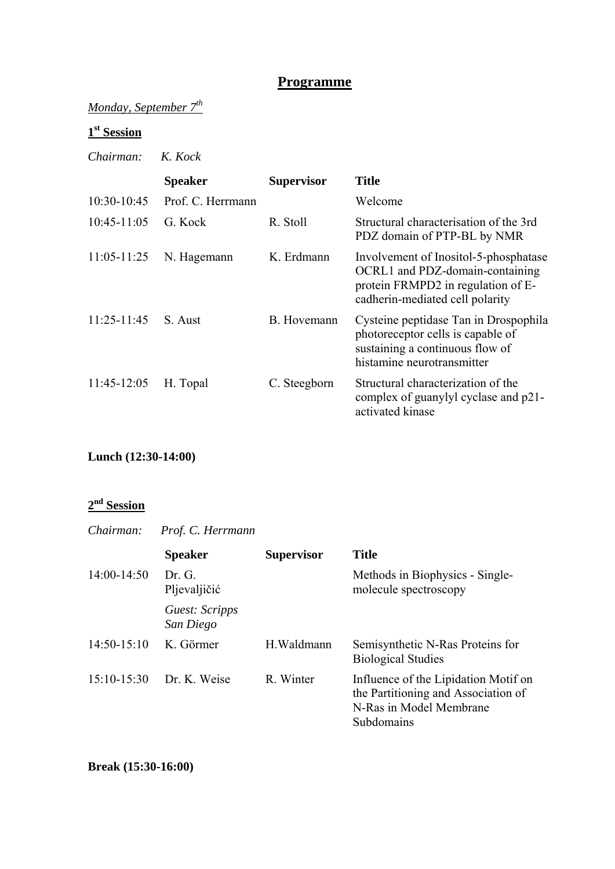#### **Programme**

## *Monday, September 7th*

# **1st Session**

#### *Chairman: K. Kock*

|                 | <b>Speaker</b>    | <b>Supervisor</b> | <b>Title</b>                                                                                                                                      |
|-----------------|-------------------|-------------------|---------------------------------------------------------------------------------------------------------------------------------------------------|
| $10:30-10:45$   | Prof. C. Herrmann |                   | Welcome                                                                                                                                           |
| $10:45-11:05$   | G Kock            | R. Stoll          | Structural characterisation of the 3rd<br>PDZ domain of PTP-BL by NMR                                                                             |
| $11:05-11:25$   | N. Hagemann       | K. Erdmann        | Involvement of Inositol-5-phosphatase<br>OCRL1 and PDZ-domain-containing<br>protein FRMPD2 in regulation of E-<br>cadherin-mediated cell polarity |
| $11:25 - 11:45$ | S Aust            | B. Hovemann       | Cysteine peptidase Tan in Drospophila<br>photoreceptor cells is capable of<br>sustaining a continuous flow of<br>histamine neurotransmitter       |
| 11:45-12:05     | H. Topal          | C. Steegborn      | Structural characterization of the<br>complex of guanylyl cyclase and p21-<br>activated kinase                                                    |

#### **Lunch (12:30-14:00)**

#### **2nd Session**

| Chairman:     | Prof. C. Herrmann           |                   |                                                                                                                      |
|---------------|-----------------------------|-------------------|----------------------------------------------------------------------------------------------------------------------|
|               | <b>Speaker</b>              | <b>Supervisor</b> | <b>Title</b>                                                                                                         |
| $14:00-14:50$ | Dr. G.<br>Pljevaljičić      |                   | Methods in Biophysics - Single-<br>molecule spectroscopy                                                             |
|               | Guest: Scripps<br>San Diego |                   |                                                                                                                      |
| $14:50-15:10$ | K. Görmer                   | H. Waldmann       | Semisynthetic N-Ras Proteins for<br><b>Biological Studies</b>                                                        |
| $15:10-15:30$ | Dr. K. Weise                | R. Winter         | Influence of the Lipidation Motif on<br>the Partitioning and Association of<br>N-Ras in Model Membrane<br>Subdomains |

**Break (15:30-16:00)**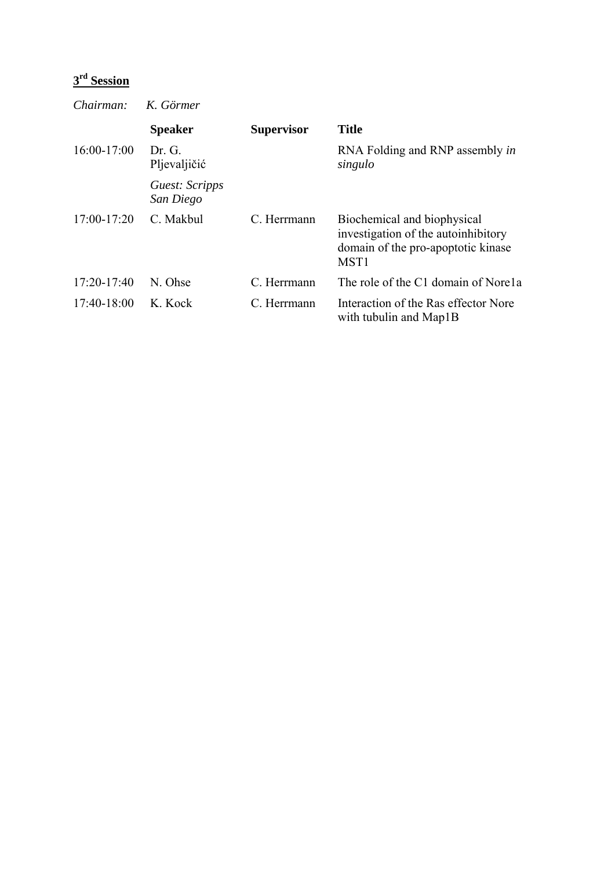# **3rd Session**

*Chairman: K. Görmer* 

|               | <b>Speaker</b>              | <b>Supervisor</b> | <b>Title</b>                                                                                                                 |
|---------------|-----------------------------|-------------------|------------------------------------------------------------------------------------------------------------------------------|
| $16:00-17:00$ | Dr G<br>Pljevaljičić        |                   | RNA Folding and RNP assembly in<br>singulo                                                                                   |
|               | Guest: Scripps<br>San Diego |                   |                                                                                                                              |
| $17:00-17:20$ | C. Makbul                   | C. Herrmann       | Biochemical and biophysical<br>investigation of the autoinhibitory<br>domain of the pro-apoptotic kinase<br>MST <sub>1</sub> |
| $17:20-17:40$ | N. Ohse                     | C. Herrmann       | The role of the C1 domain of Norela                                                                                          |
| $17:40-18:00$ | K. Kock                     | C. Herrmann       | Interaction of the Ras effector Nore<br>with tubulin and Map1B                                                               |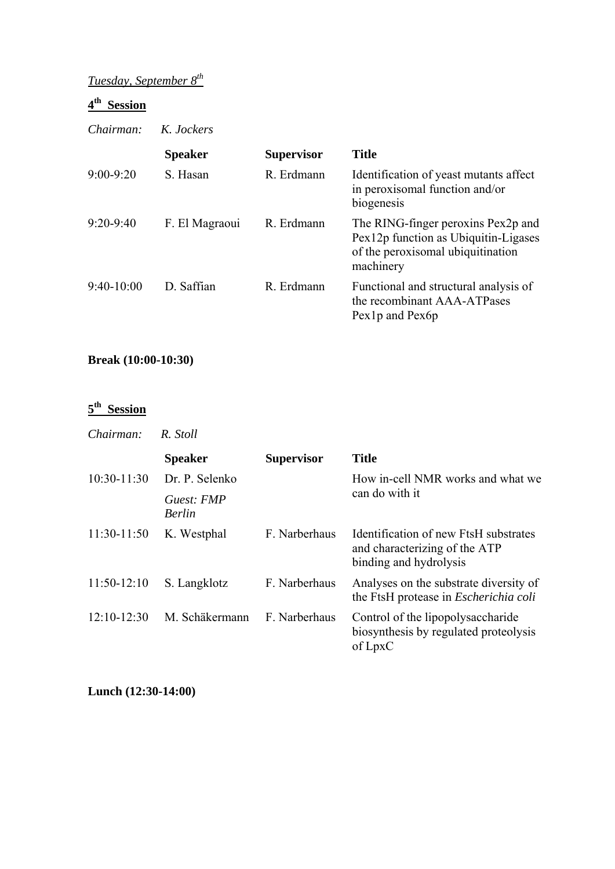# *Tuesday, September 8th*

## **4th Session**

*Chairman: K. Jockers* 

|               | <b>Speaker</b> | <b>Supervisor</b> | <b>Title</b>                                                                                                                 |
|---------------|----------------|-------------------|------------------------------------------------------------------------------------------------------------------------------|
| $9:00 - 9:20$ | S. Hasan       | R. Erdmann        | Identification of yeast mutants affect<br>in peroxisomal function and/or<br>biogenesis                                       |
| $9:20 - 9:40$ | F. El Magraoui | R. Erdmann        | The RING-finger peroxins Pex2p and<br>Pex12p function as Ubiquitin-Ligases<br>of the peroxisomal ubiquitination<br>machinery |
| $9:40-10:00$  | D. Saffian     | R. Erdmann        | Functional and structural analysis of<br>the recombinant AAA-ATPases<br>Pex <sub>1</sub> p and Pex <sub>6</sub> p            |

## **Break (10:00-10:30)**

## **5th Session**

*Chairman: R. Stoll* 

|               | <b>Speaker</b>              | <b>Supervisor</b> | <b>Title</b>                                                                                     |
|---------------|-----------------------------|-------------------|--------------------------------------------------------------------------------------------------|
| $10:30-11:30$ | Dr. P. Selenko              |                   | How in-cell NMR works and what we                                                                |
|               | Guest: FMP<br><b>Berlin</b> |                   | can do with it                                                                                   |
| $11:30-11:50$ | K. Westphal                 | F. Narberhaus     | Identification of new FtsH substrates<br>and characterizing of the ATP<br>binding and hydrolysis |
| $11:50-12:10$ | S. Langklotz                | F. Narberhaus     | Analyses on the substrate diversity of<br>the FtsH protease in <i>Escherichia coli</i>           |
| $12:10-12:30$ | M. Schäkermann              | F. Narberhaus     | Control of the lipopolysaccharide<br>biosynthesis by regulated proteolysis<br>of LpxC            |

**Lunch (12:30-14:00)**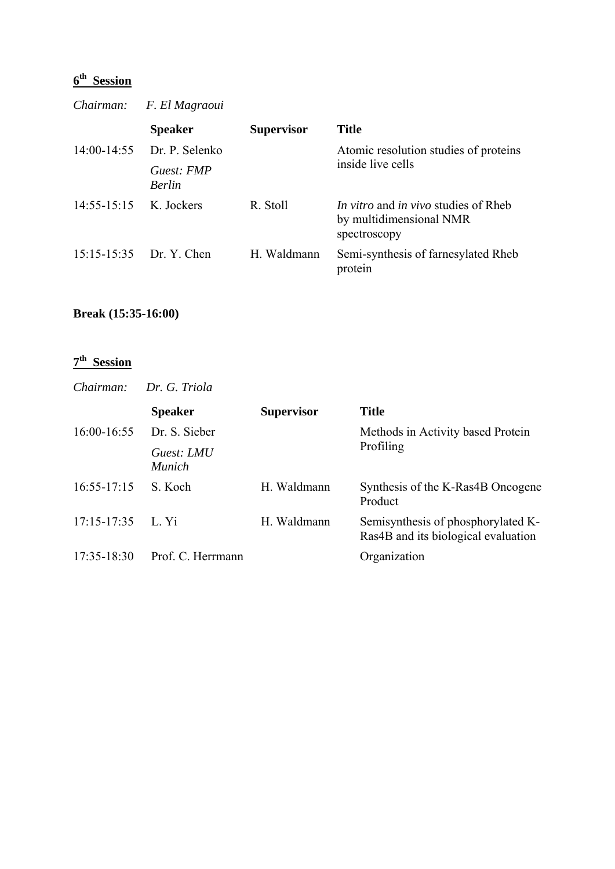# **6th Session**

| Chairman:       | F. El Magraoui              |                   |                                                                                               |
|-----------------|-----------------------------|-------------------|-----------------------------------------------------------------------------------------------|
|                 | <b>Speaker</b>              | <b>Supervisor</b> | <b>Title</b>                                                                                  |
|                 | 14:00-14:55 Dr. P. Selenko  |                   | Atomic resolution studies of proteins                                                         |
|                 | Guest: FMP<br><b>Berlin</b> |                   | inside live cells                                                                             |
| $14:55 - 15:15$ | K. Jockers                  | R. Stoll          | <i>In vitro</i> and <i>in vivo</i> studies of Rheb<br>by multidimensional NMR<br>spectroscopy |
|                 | 15:15-15:35 Dr. Y. Chen     | H. Waldmann       | Semi-synthesis of farnesylated Rheb<br>protein                                                |

## **Break (15:35-16:00)**

#### **7th Session**

| Chairman:       | Dr. G. Triola               |                   |                                                                           |
|-----------------|-----------------------------|-------------------|---------------------------------------------------------------------------|
|                 | <b>Speaker</b>              | <b>Supervisor</b> | <b>Title</b>                                                              |
| $16:00-16:55$   | Dr. S. Sieber               |                   | Methods in Activity based Protein                                         |
|                 | Guest: LMU<br><b>Munich</b> |                   | Profiling                                                                 |
| $16:55 - 17:15$ | S. Koch                     | H. Waldmann       | Synthesis of the K-Ras4B Oncogene<br>Product                              |
| $17:15 - 17:35$ | L. Yi                       | H. Waldmann       | Semisynthesis of phosphorylated K-<br>Ras4B and its biological evaluation |
| $17:35 - 18:30$ | Prof. C. Herrmann           |                   | Organization                                                              |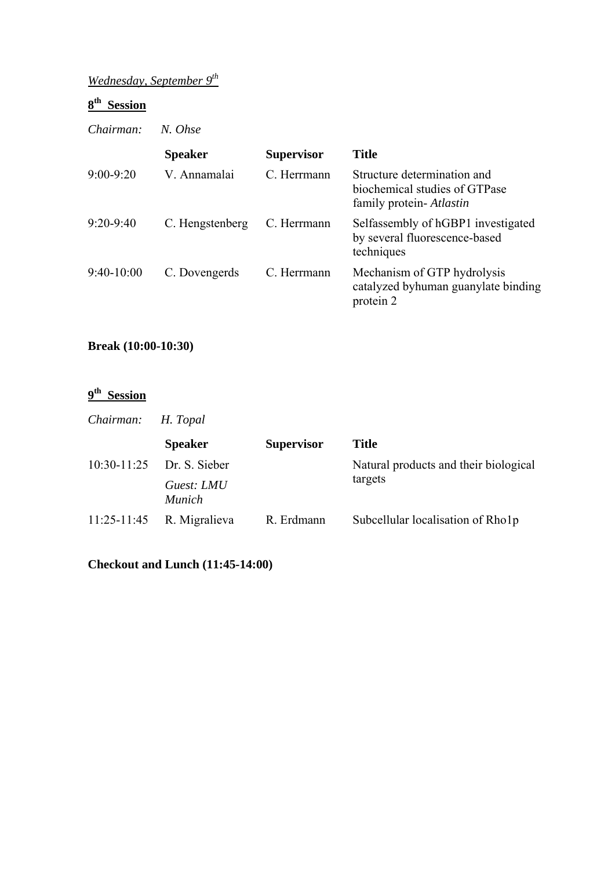# *Wednesday, September 9th*

## **8th Session**

*Chairman: N. Ohse* 

|               | <b>Speaker</b>  | <b>Supervisor</b> | <b>Title</b>                                                                             |
|---------------|-----------------|-------------------|------------------------------------------------------------------------------------------|
| $9:00 - 9:20$ | V. Annamalai    | C. Herrmann       | Structure determination and<br>biochemical studies of GTPase<br>family protein- Atlastin |
| $9:20 - 9:40$ | C. Hengstenberg | C. Herrmann       | Selfassembly of hGBP1 investigated<br>by several fluorescence-based<br>techniques        |
| $9:40-10:00$  | C. Dovengerds   | C. Herrmann       | Mechanism of GTP hydrolysis<br>catalyzed byhuman guanylate binding<br>protein 2          |

#### **Break (10:00-10:30)**

## **9th Session**

| Chairman:       | H. Topal                    |                   |                                       |  |
|-----------------|-----------------------------|-------------------|---------------------------------------|--|
|                 | <b>Speaker</b>              | <b>Supervisor</b> | <b>Title</b>                          |  |
|                 | $10:30-11:25$ Dr. S. Sieber |                   | Natural products and their biological |  |
|                 | Guest: LMU<br><i>Munich</i> |                   | targets                               |  |
| $11:25 - 11:45$ | R. Migralieva               | R. Erdmann        | Subcellular localisation of Rho1p     |  |

**Checkout and Lunch (11:45-14:00)**